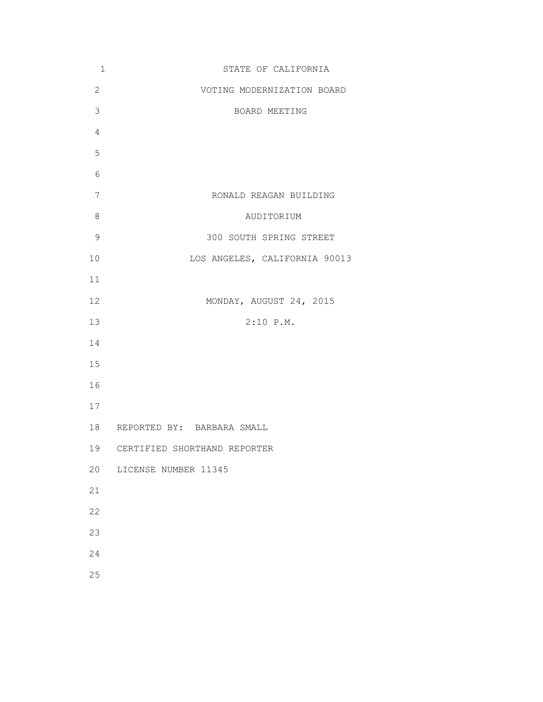| $\mathbf 1$    | STATE OF CALIFORNIA             |
|----------------|---------------------------------|
| $\overline{2}$ | VOTING MODERNIZATION BOARD      |
| 3              | BOARD MEETING                   |
| $\overline{4}$ |                                 |
| 5              |                                 |
| 6              |                                 |
| 7              | RONALD REAGAN BUILDING          |
| $\,8\,$        | AUDITORIUM                      |
| $\mathcal{G}$  | 300 SOUTH SPRING STREET         |
| 10             | LOS ANGELES, CALIFORNIA 90013   |
| 11             |                                 |
| 12             | MONDAY, AUGUST 24, 2015         |
| 13             | $2:10$ P.M.                     |
| 14             |                                 |
| 15             |                                 |
| 16             |                                 |
| 17             |                                 |
| 18             | REPORTED BY: BARBARA SMALL      |
|                | 19 CERTIFIED SHORTHAND REPORTER |
| 20             | LICENSE NUMBER 11345            |
| 21             |                                 |
| 22             |                                 |
| 23             |                                 |
| 24             |                                 |
| 25             |                                 |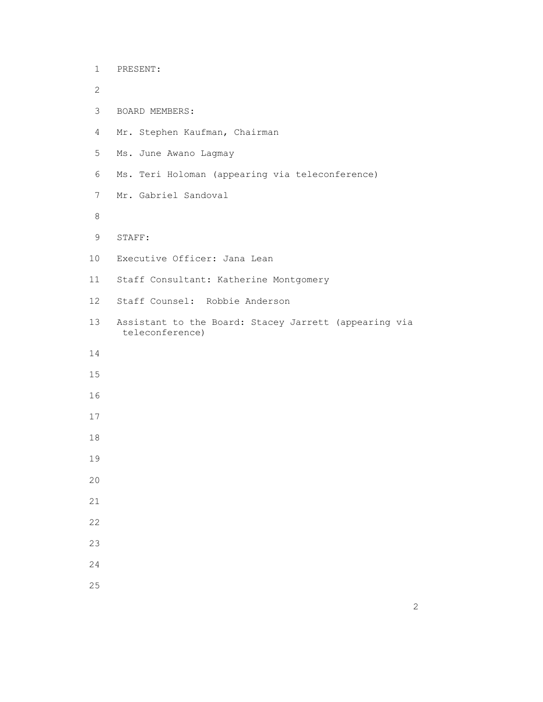| $\mathbf 1$    | PRESENT:                                                                 |
|----------------|--------------------------------------------------------------------------|
| $\overline{2}$ |                                                                          |
| 3              | BOARD MEMBERS:                                                           |
| $\overline{4}$ | Mr. Stephen Kaufman, Chairman                                            |
| 5              | Ms. June Awano Lagmay                                                    |
| 6              | Ms. Teri Holoman (appearing via teleconference)                          |
| 7              | Mr. Gabriel Sandoval                                                     |
| 8              |                                                                          |
| 9              | STAFF:                                                                   |
| 10             | Executive Officer: Jana Lean                                             |
| 11             | Staff Consultant: Katherine Montgomery                                   |
| 12             | Staff Counsel: Robbie Anderson                                           |
| 13             | Assistant to the Board: Stacey Jarrett (appearing via<br>teleconference) |
| 14             |                                                                          |
| 15             |                                                                          |
| 16             |                                                                          |
| 17             |                                                                          |
| 18             |                                                                          |
| 19             |                                                                          |
| 20             |                                                                          |
| 21             |                                                                          |
| 22             |                                                                          |
| 23             |                                                                          |
| 24             |                                                                          |
| 25             |                                                                          |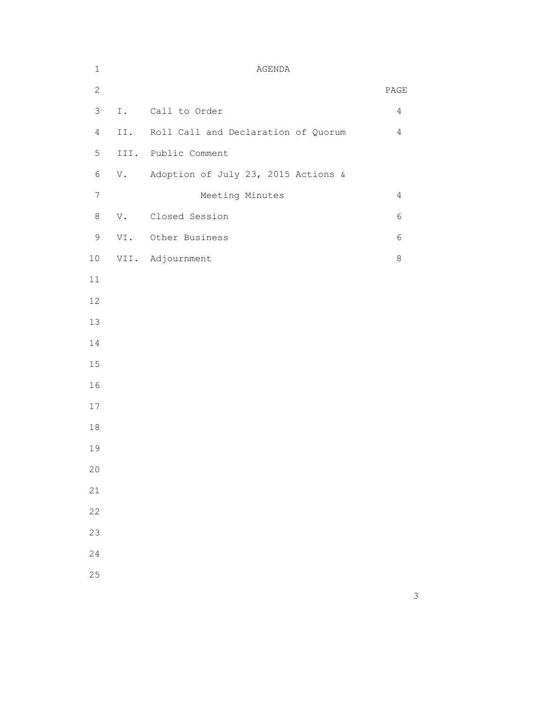| $\mathbf 1$     |     | AGENDA                              |                              |
|-----------------|-----|-------------------------------------|------------------------------|
| $\mathbf{2}$    |     |                                     | $\ensuremath{\mathsf{PAGE}}$ |
| $\mathfrak{Z}$  | I.  | Call to Order                       | $\overline{4}$               |
| $\overline{4}$  | II. | Roll Call and Declaration of Quorum | $\overline{4}$               |
| 5               |     | III. Public Comment                 |                              |
| $\epsilon$      | V.  | Adoption of July 23, 2015 Actions & |                              |
| $7\phantom{.0}$ |     | Meeting Minutes                     | $\overline{4}$               |
| $\,8\,$         | V.  | Closed Session                      | 6                            |
| $\mathsf 9$     |     | VI. Other Business                  | 6                            |
| $10$            |     | VII. Adjournment                    | $\,8\,$                      |
| $11$            |     |                                     |                              |
| 12              |     |                                     |                              |
| 13              |     |                                     |                              |
| 14              |     |                                     |                              |
| $15\,$          |     |                                     |                              |
| 16              |     |                                     |                              |
| 17              |     |                                     |                              |
| $1\,8$          |     |                                     |                              |
| 19              |     |                                     |                              |
| 20              |     |                                     |                              |
| 21              |     |                                     |                              |
| 22              |     |                                     |                              |
| 23              |     |                                     |                              |
| 24              |     |                                     |                              |
| 25              |     |                                     |                              |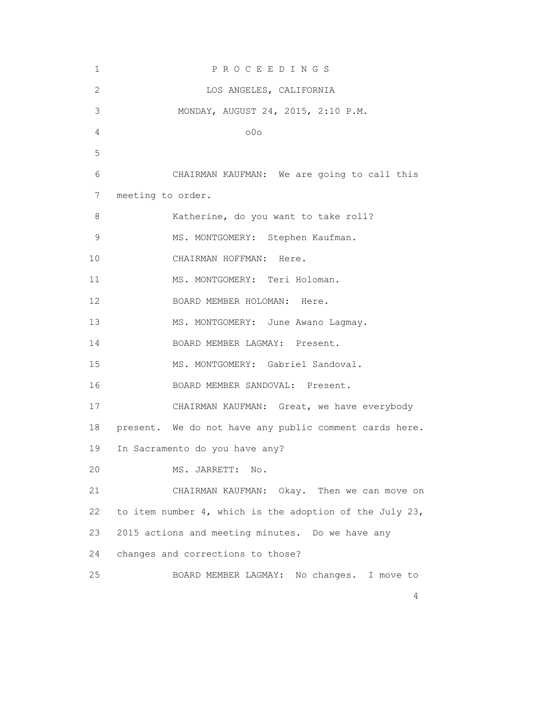| 1              | PROCEEDINGS                                             |
|----------------|---------------------------------------------------------|
| $\overline{c}$ | LOS ANGELES, CALIFORNIA                                 |
| 3              | MONDAY, AUGUST 24, 2015, 2:10 P.M.                      |
| 4              | 00 <sub>o</sub>                                         |
| 5              |                                                         |
| 6              | CHAIRMAN KAUFMAN: We are going to call this             |
| 7              | meeting to order.                                       |
| 8              | Katherine, do you want to take roll?                    |
| $\mathsf 9$    | MS. MONTGOMERY: Stephen Kaufman.                        |
| 10             | CHAIRMAN HOFFMAN: Here.                                 |
| 11             | MS. MONTGOMERY: Teri Holoman.                           |
| 12             | BOARD MEMBER HOLOMAN: Here.                             |
| 13             | MS. MONTGOMERY: June Awano Lagmay.                      |
| 14             | BOARD MEMBER LAGMAY: Present.                           |
| 15             | MS. MONTGOMERY: Gabriel Sandoval.                       |
| 16             | BOARD MEMBER SANDOVAL: Present.                         |
| 17             | CHAIRMAN KAUFMAN: Great, we have everybody              |
| 18             | present. We do not have any public comment cards here.  |
| 19             | In Sacramento do you have any?                          |
| 20             | MS. JARRETT:<br>No.                                     |
| 21             | CHAIRMAN KAUFMAN: Okay. Then we can move on             |
| 22             | to item number 4, which is the adoption of the July 23, |
| 23             | 2015 actions and meeting minutes. Do we have any        |
| 24             | changes and corrections to those?                       |
| 25             | BOARD MEMBER LAGMAY: No changes. I move to              |
|                | 4                                                       |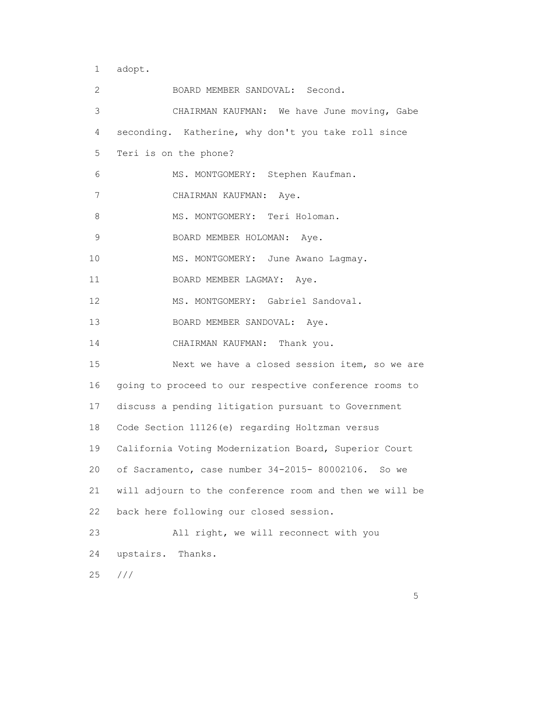1 adopt.

| 2           | BOARD MEMBER SANDOVAL: Second.                          |
|-------------|---------------------------------------------------------|
| $\mathsf 3$ | CHAIRMAN KAUFMAN: We have June moving, Gabe             |
| 4           | seconding. Katherine, why don't you take roll since     |
| 5           | Teri is on the phone?                                   |
| 6           | MS. MONTGOMERY: Stephen Kaufman.                        |
| 7           | CHAIRMAN KAUFMAN: Aye.                                  |
| 8           | MS. MONTGOMERY: Teri Holoman.                           |
| $\mathsf 9$ | BOARD MEMBER HOLOMAN: Aye.                              |
| 10          | MS. MONTGOMERY: June Awano Lagmay.                      |
| 11          | BOARD MEMBER LAGMAY: Aye.                               |
| 12          | MS. MONTGOMERY: Gabriel Sandoval.                       |
| 13          | BOARD MEMBER SANDOVAL: Aye.                             |
| 14          | CHAIRMAN KAUFMAN: Thank you.                            |
| 15          | Next we have a closed session item, so we are           |
| 16          | going to proceed to our respective conference rooms to  |
| 17          | discuss a pending litigation pursuant to Government     |
| 18          | Code Section 11126(e) regarding Holtzman versus         |
| 19          | California Voting Modernization Board, Superior Court   |
| 20          | of Sacramento, case number 34-2015- 80002106. So we     |
| 21          | will adjourn to the conference room and then we will be |
| 22          | back here following our closed session.                 |
| 23          | All right, we will reconnect with you                   |
| 24          | upstairs. Thanks.                                       |
| 25          | ///                                                     |

<u>5</u> September 2007 and 2007 and 2007 and 2007 and 2007 and 2007 and 2007 and 2007 and 2007 and 2007 and 2007 and 2007 and 2007 and 2007 and 2007 and 2007 and 2007 and 2007 and 2007 and 2007 and 2007 and 2007 and 2007 and 2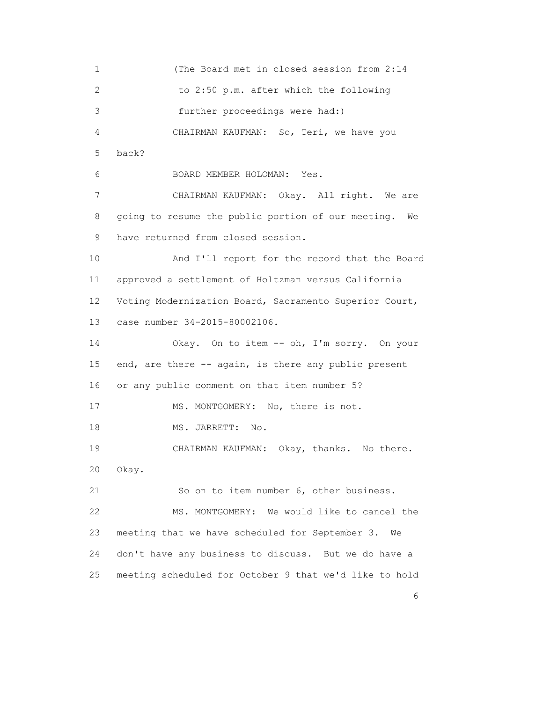1 (The Board met in closed session from 2:14 2 to 2:50 p.m. after which the following 3 further proceedings were had:) 4 CHAIRMAN KAUFMAN: So, Teri, we have you 5 back? 6 BOARD MEMBER HOLOMAN: Yes. 7 CHAIRMAN KAUFMAN: Okay. All right. We are 8 going to resume the public portion of our meeting. We 9 have returned from closed session. 10 And I'll report for the record that the Board 11 approved a settlement of Holtzman versus California 12 Voting Modernization Board, Sacramento Superior Court, 13 case number 34-2015-80002106. 14 Okay. On to item -- oh, I'm sorry. On your 15 end, are there -- again, is there any public present 16 or any public comment on that item number 5? 17 MS. MONTGOMERY: No, there is not. 18 MS. JARRETT: No. 19 CHAIRMAN KAUFMAN: Okay, thanks. No there. 20 Okay. 21 So on to item number 6, other business. 22 MS. MONTGOMERY: We would like to cancel the 23 meeting that we have scheduled for September 3. We 24 don't have any business to discuss. But we do have a 25 meeting scheduled for October 9 that we'd like to hold

<u>6</u> and the contract of the contract of the contract of the contract of the contract of the contract of the contract of the contract of the contract of the contract of the contract of the contract of the contract of the co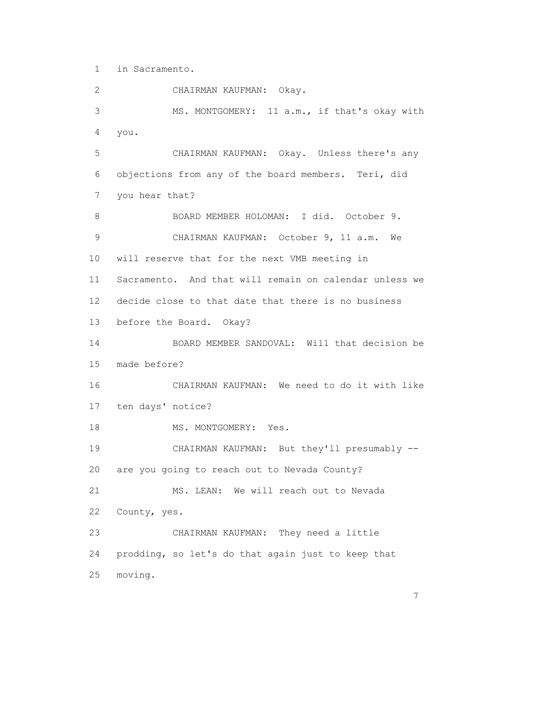1 in Sacramento.

 2 CHAIRMAN KAUFMAN: Okay. 3 MS. MONTGOMERY: 11 a.m., if that's okay with 4 you. 5 CHAIRMAN KAUFMAN: Okay. Unless there's any 6 objections from any of the board members. Teri, did 7 you hear that? 8 BOARD MEMBER HOLOMAN: I did. October 9. 9 CHAIRMAN KAUFMAN: October 9, 11 a.m. We 10 will reserve that for the next VMB meeting in 11 Sacramento. And that will remain on calendar unless we 12 decide close to that date that there is no business 13 before the Board. Okay? 14 BOARD MEMBER SANDOVAL: Will that decision be 15 made before? 16 CHAIRMAN KAUFMAN: We need to do it with like 17 ten days' notice? 18 MS. MONTGOMERY: Yes. 19 CHAIRMAN KAUFMAN: But they'll presumably -- 20 are you going to reach out to Nevada County? 21 MS. LEAN: We will reach out to Nevada 22 County, yes. 23 CHAIRMAN KAUFMAN: They need a little 24 prodding, so let's do that again just to keep that 25 moving.

7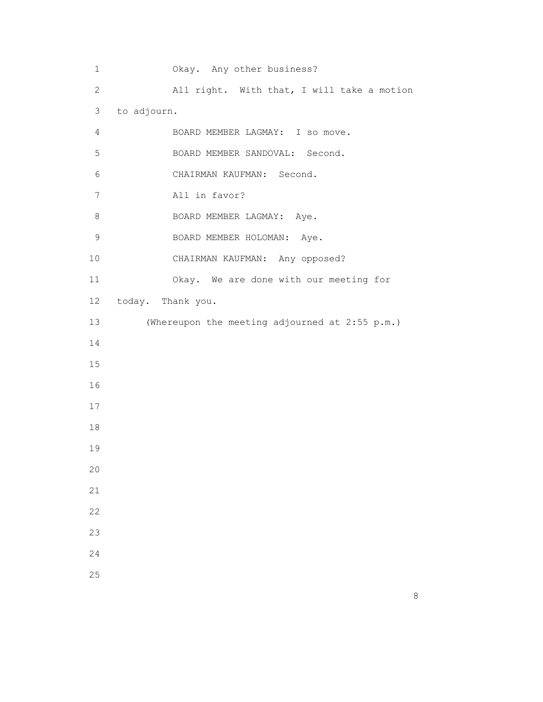1 Okay. Any other business? 2 All right. With that, I will take a motion 3 to adjourn. 4 BOARD MEMBER LAGMAY: I so move. 5 BOARD MEMBER SANDOVAL: Second. 6 CHAIRMAN KAUFMAN: Second. 7 All in favor? 8 BOARD MEMBER LAGMAY: Aye. 9 BOARD MEMBER HOLOMAN: Aye. 10 CHAIRMAN KAUFMAN: Any opposed? 11 Okay. We are done with our meeting for 12 today. Thank you. 13 (Whereupon the meeting adjourned at 2:55 p.m.) 14 15 16 17 18 19 20 21 22 23 24 25